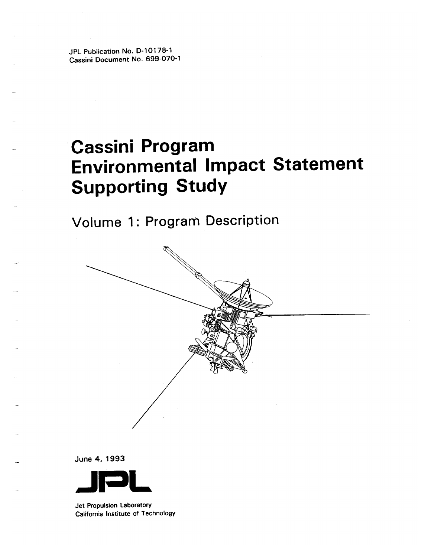JPL Publication No. D-10178-1 Cassini Document No. 699-070-1

# **Cassini Program Environmental Impact Statement Supporting Study**

Volume 1: Program Description



June 4, 1993



Jet Propulsion Laboratory California Institute of Technology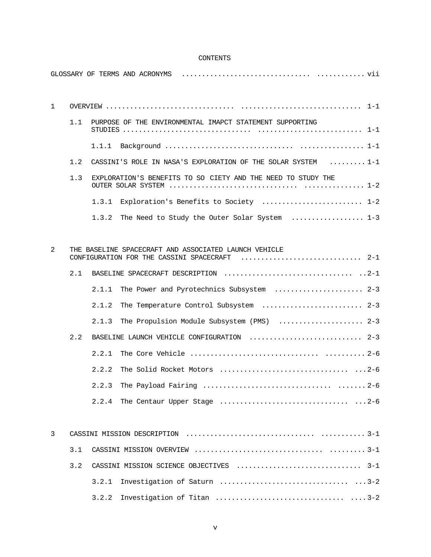# CONTENTS

GLOSSARY OF TERMS AND ACRONYMS ................................ ............ vii

| $\mathbf{1}$ |     |       |                                                                                                        |
|--------------|-----|-------|--------------------------------------------------------------------------------------------------------|
|              | 1.1 |       | PURPOSE OF THE ENVIRONMENTAL IMAPCT STATEMENT SUPPORTING                                               |
|              |     |       |                                                                                                        |
|              | 1.2 |       | CASSINI'S ROLE IN NASA'S EXPLORATION OF THE SOLAR SYSTEM $\ldots \ldots \ldots 1-1$                    |
|              | 1.3 |       | EXPLORATION'S BENEFITS TO SO CIETY AND THE NEED TO STUDY THE                                           |
|              |     |       | 1.3.1 Exploration's Benefits to Society  1-2                                                           |
|              |     | 1.3.2 | The Need to Study the Outer Solar System  1-3                                                          |
|              |     |       |                                                                                                        |
| 2            |     |       | THE BASELINE SPACECRAFT AND ASSOCIATED LAUNCH VEHICLE<br>CONFIGURATION FOR THE CASSINI SPACECRAFT  2-1 |
|              | 2.1 |       |                                                                                                        |
|              |     | 2.1.1 | The Power and Pyrotechnics Subsystem  2-3                                                              |
|              |     | 2.1.2 | The Temperature Control Subsystem  2-3                                                                 |
|              |     | 2.1.3 | The Propulsion Module Subsystem (PMS)  2-3                                                             |
|              | 2.2 |       | BASELINE LAUNCH VEHICLE CONFIGURATION  2-3                                                             |
|              |     | 2.2.1 |                                                                                                        |
|              |     | 2.2.2 |                                                                                                        |
|              |     | 2.2.3 |                                                                                                        |
|              |     |       |                                                                                                        |
|              |     |       |                                                                                                        |
| 3            |     |       |                                                                                                        |
|              | 3.1 |       |                                                                                                        |
|              | 3.2 |       |                                                                                                        |
|              |     | 3.2.1 |                                                                                                        |
|              |     | 3.2.2 |                                                                                                        |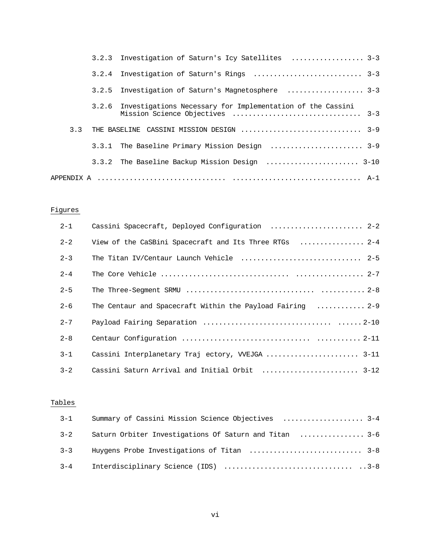|     | 3.2.3 Investigation of Saturn's Icy Satellites  3-3                                                       |
|-----|-----------------------------------------------------------------------------------------------------------|
|     |                                                                                                           |
|     | 3.2.5 Investigation of Saturn's Magnetosphere  3-3                                                        |
|     | 3.2.6 Investigations Necessary for Implementation of the Cassini<br>Mission Science Objectives<br>$3 - 3$ |
| 3.3 | $3 - 9$<br>THE BASELINE CASSINI MISSION DESIGN                                                            |
|     |                                                                                                           |
|     | 3.3.2 The Baseline Backup Mission Design  3-10                                                            |
|     |                                                                                                           |

# Figures

| $2 - 1$ | Cassini Spacecraft, Deployed Configuration  2-2            |
|---------|------------------------------------------------------------|
| $2 - 2$ | View of the CaSBini Spacecraft and Its Three RTGs  2-4     |
| $2 - 3$ | The Titan IV/Centaur Launch Vehicle  2-5                   |
| $2 - 4$ |                                                            |
| $2 - 5$ |                                                            |
| $2 - 6$ | The Centaur and Spacecraft Within the Payload Fairing  2-9 |
| $2 - 7$ |                                                            |
| $2 - 8$ |                                                            |
| $3 - 1$ | Cassini Interplanetary Traj ectory, WEJGA  3-11            |
| $3 - 2$ |                                                            |

# Tables

|         | 3-1 Summary of Cassini Mission Science Objectives  3-4 |  |
|---------|--------------------------------------------------------|--|
| $3 - 2$ | Saturn Orbiter Investigations Of Saturn and Titan  3-6 |  |
| $3 - 3$ |                                                        |  |
| $3 - 4$ |                                                        |  |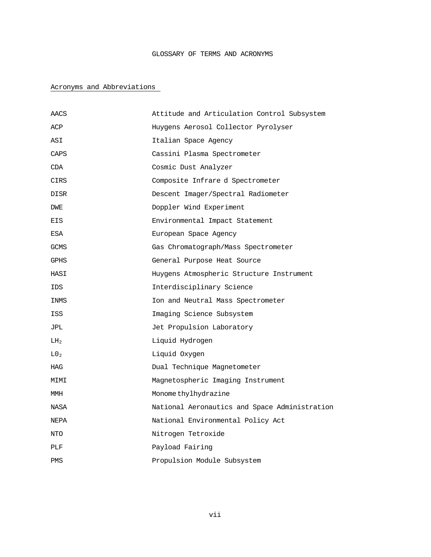# GLOSSARY OF TERMS AND ACRONYMS

# Acronyms and Abbreviations

| AACS            | Attitude and Articulation Control Subsystem   |
|-----------------|-----------------------------------------------|
| ACP             | Huygens Aerosol Collector Pyrolyser           |
| ASI             | Italian Space Agency                          |
| CAPS            | Cassini Plasma Spectrometer                   |
| CDA             | Cosmic Dust Analyzer                          |
| CIRS            | Composite Infrare d Spectrometer              |
| DISR            | Descent Imager/Spectral Radiometer            |
| DWE             | Doppler Wind Experiment                       |
| EIS             | Environmental Impact Statement                |
| ESA             | European Space Agency                         |
| GCMS            | Gas Chromatograph/Mass Spectrometer           |
| GPHS            | General Purpose Heat Source                   |
| HASI            | Huygens Atmospheric Structure Instrument      |
| IDS             | Interdisciplinary Science                     |
| INMS            | Ion and Neutral Mass Spectrometer             |
| <b>ISS</b>      | Imaging Science Subsystem                     |
| JPL             | Jet Propulsion Laboratory                     |
| LH <sub>2</sub> | Liquid Hydrogen                               |
| L0 <sub>2</sub> | Liquid Oxygen                                 |
| HAG             | Dual Technique Magnetometer                   |
| MIMI            | Magnetospheric Imaging Instrument             |
| MMH             | Monome thylhydrazine                          |
| NASA            | National Aeronautics and Space Administration |
| NEPA            | National Environmental Policy Act             |
| NTO             | Nitrogen Tetroxide                            |
| PLF             | Payload Fairing                               |
| PMS             | Propulsion Module Subsystem                   |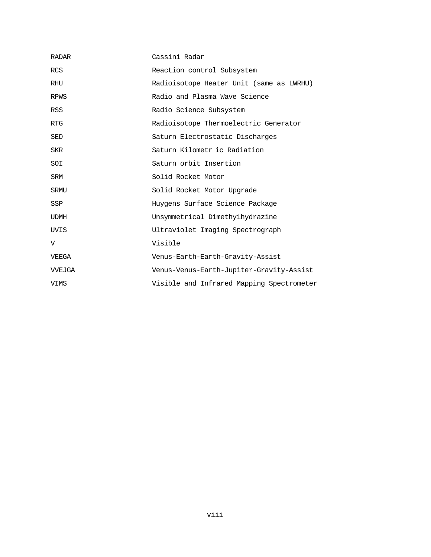| <b>RADAR</b> | Cassini Radar                             |
|--------------|-------------------------------------------|
| <b>RCS</b>   | Reaction control Subsystem                |
| RHU          | Radioisotope Heater Unit (same as LWRHU)  |
| <b>RPWS</b>  | Radio and Plasma Wave Science             |
| RSS          | Radio Science Subsystem                   |
| <b>RTG</b>   | Radioisotope Thermoelectric Generator     |
| SED          | Saturn Electrostatic Discharges           |
| SKR          | Saturn Kilometr ic Radiation              |
| SOI          | Saturn orbit Insertion                    |
| SRM          | Solid Rocket Motor                        |
| SRMU         | Solid Rocket Motor Upgrade                |
| <b>SSP</b>   | Huygens Surface Science Package           |
| <b>UDMH</b>  | Unsymmetrical Dimethylhydrazine           |
| UVIS         | Ultraviolet Imaging Spectrograph          |
| V            | Visible                                   |
| VEEGA        | Venus-Earth-Earth-Gravity-Assist          |
| VVEJGA       | Venus-Venus-Earth-Jupiter-Gravity-Assist  |
| VIMS         | Visible and Infrared Mapping Spectrometer |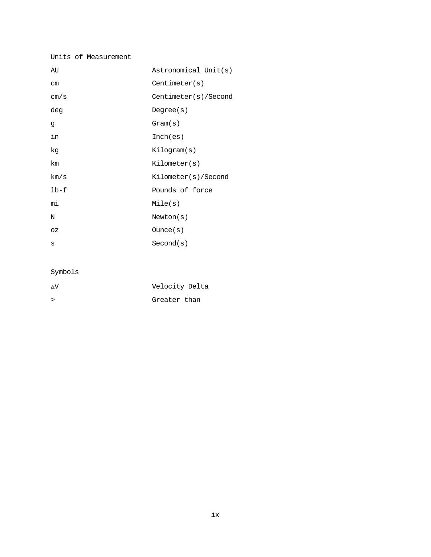# Units of Measurement

| AU      | Astronomical Unit(s) |
|---------|----------------------|
| $\, cm$ | Centimeter(s)        |
| cm/s    | Centimeter(s)/Second |
| deg     | Degree(s)            |
| đ       | Gram(s)              |
| in      | Inch(es)             |
| kg      | Kilogram(s)          |
| km      | Kilometer(s)         |
| km/s    | Kilometer(s)/Second  |
| $1b-f$  | Pounds of force      |
| mi      | Mile(s)              |
| N       | Newton(s)            |
| ΟZ      | Ounce(s)             |
| S       | Second(s)            |

# Symbols

| ۸V     | Velocity Delta |
|--------|----------------|
| $\geq$ | Greater than   |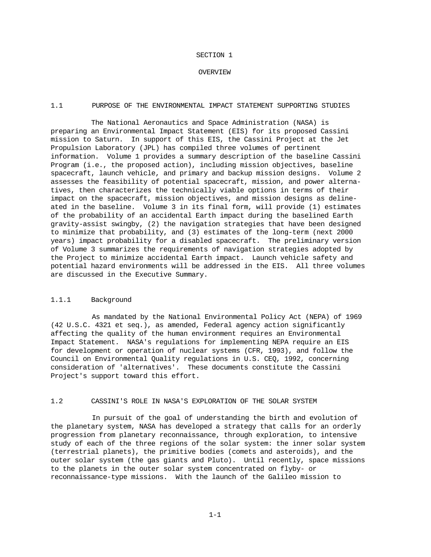#### SECTION 1

#### OVERVIEW

### 1.1 PURPOSE OF THE ENVIRONMENTAL IMPACT STATEMENT SUPPORTING STUDIES

The National Aeronautics and Space Administration (NASA) is preparing an Environmental Impact Statement (EIS) for its proposed Cassini mission to Saturn. In support of this EIS, the Cassini Project at the Jet Propulsion Laboratory (JPL) has compiled three volumes of pertinent information. Volume 1 provides a summary description of the baseline Cassini Program (i.e., the proposed action), including mission objectives, baseline spacecraft, launch vehicle, and primary and backup mission designs. Volume 2 assesses the feasibility of potential spacecraft, mission, and power alternatives, then characterizes the technically viable options in terms of their impact on the spacecraft, mission objectives, and mission designs as delineated in the baseline. Volume 3 in its final form, will provide (1) estimates of the probability of an accidental Earth impact during the baselined Earth gravity-assist swingby, (2) the navigation strategies that have been designed to minimize that probability, and (3) estimates of the long-term (next 2000 years) impact probability for a disabled spacecraft. The preliminary version of Volume 3 summarizes the requirements of navigation strategies adopted by the Project to minimize accidental Earth impact. Launch vehicle safety and potential hazard environments will be addressed in the EIS. All three volumes are discussed in the Executive Summary.

## 1.1.1 Background

As mandated by the National Environmental Policy Act (NEPA) of 1969 (42 U.S.C. 4321 et seq.), as amended, Federal agency action significantly affecting the quality of the human environment requires an Environmental Impact Statement. NASA's regulations for implementing NEPA require an EIS for development or operation of nuclear systems (CFR, 1993), and follow the Council on Environmental Quality regulations in U.S. CEQ, 1992, concerning consideration of 'alternatives'. These documents constitute the Cassini Project's support toward this effort.

# 1.2 CASSINI'S ROLE IN NASA'S EXPLORATION OF THE SOLAR SYSTEM

In pursuit of the goal of understanding the birth and evolution of the planetary system, NASA has developed a strategy that calls for an orderly progression from planetary reconnaissance, through exploration, to intensive study of each of the three regions of the solar system: the inner solar system (terrestrial planets), the primitive bodies (comets and asteroids), and the outer solar system (the gas giants and Pluto). Until recently, space missions to the planets in the outer solar system concentrated on flyby- or reconnaissance-type missions. With the launch of the Galileo mission to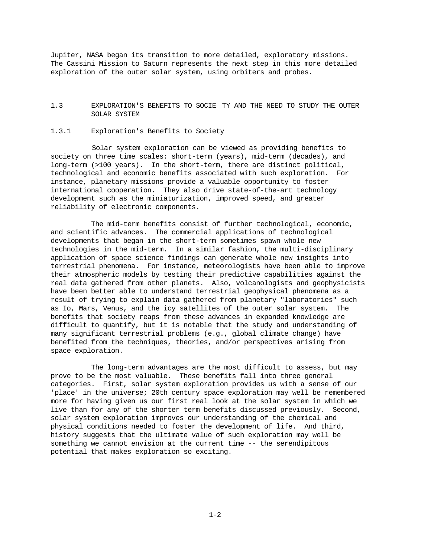Jupiter, NASA began its transition to more detailed, exploratory missions. The Cassini Mission to Saturn represents the next step in this more detailed exploration of the outer solar system, using orbiters and probes.

# 1.3 EXPLORATION'S BENEFITS TO SOCIE TY AND THE NEED TO STUDY THE OUTER SOLAR SYSTEM

# 1.3.1 Exploration's Benefits to Society

Solar system exploration can be viewed as providing benefits to society on three time scales: short-term (years), mid-term (decades), and long-term (>100 years). In the short-term, there are distinct political, technological and economic benefits associated with such exploration. For instance, planetary missions provide a valuable opportunity to foster international cooperation. They also drive state-of-the-art technology development such as the miniaturization, improved speed, and greater reliability of electronic components.

The mid-term benefits consist of further technological, economic, and scientific advances. The commercial applications of technological developments that began in the short-term sometimes spawn whole new technologies in the mid-term. In a similar fashion, the multi-disciplinary application of space science findings can generate whole new insights into terrestrial phenomena. For instance, meteorologists have been able to improve their atmospheric models by testing their predictive capabilities against the real data gathered from other planets. Also, volcanologists and geophysicists have been better able to understand terrestrial geophysical phenomena as a result of trying to explain data gathered from planetary "laboratories" such as Io, Mars, Venus, and the icy satellites of the outer solar system. The benefits that society reaps from these advances in expanded knowledge are difficult to quantify, but it is notable that the study and understanding of many significant terrestrial problems (e.g., global climate change) have benefited from the techniques, theories, and/or perspectives arising from space exploration.

The long-term advantages are the most difficult to assess, but may prove to be the most valuable. These benefits fall into three general categories. First, solar system exploration provides us with a sense of our 'place' in the universe; 20th century space exploration may well be remembered more for having given us our first real look at the solar system in which we live than for any of the shorter term benefits discussed previously. Second, solar system exploration improves our understanding of the chemical and physical conditions needed to foster the development of life. And third, history suggests that the ultimate value of such exploration may well be something we cannot envision at the current time -- the serendipitous potential that makes exploration so exciting.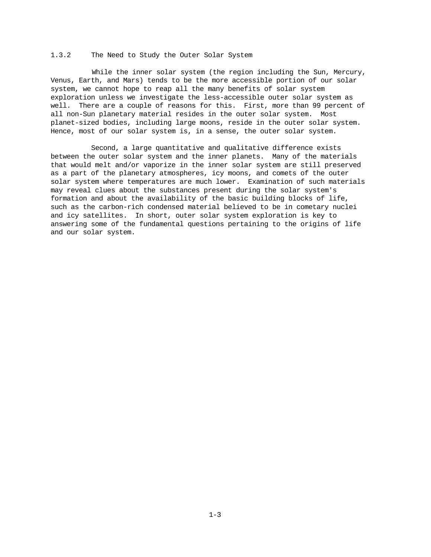## 1.3.2 The Need to Study the Outer Solar System

While the inner solar system (the region including the Sun, Mercury, Venus, Earth, and Mars) tends to be the more accessible portion of our solar system, we cannot hope to reap all the many benefits of solar system exploration unless we investigate the less-accessible outer solar system as well. There are a couple of reasons for this. First, more than 99 percent of all non-Sun planetary material resides in the outer solar system. Most planet-sized bodies, including large moons, reside in the outer solar system. Hence, most of our solar system is, in a sense, the outer solar system.

Second, a large quantitative and qualitative difference exists between the outer solar system and the inner planets. Many of the materials that would melt and/or vaporize in the inner solar system are still preserved as a part of the planetary atmospheres, icy moons, and comets of the outer solar system where temperatures are much lower. Examination of such materials may reveal clues about the substances present during the solar system's formation and about the availability of the basic building blocks of life, such as the carbon-rich condensed material believed to be in cometary nuclei and icy satellites. In short, outer solar system exploration is key to answering some of the fundamental questions pertaining to the origins of life and our solar system.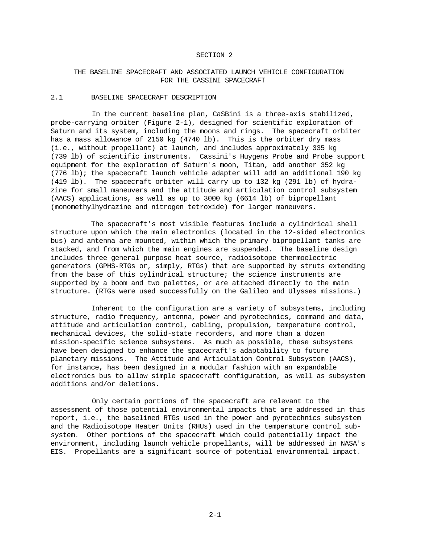#### SECTION 2

# THE BASELINE SPACECRAFT AND ASSOCIATED LAUNCH VEHICLE CONFIGURATION FOR THE CASSINI SPACECRAFT

# 2.1 BASELINE SPACECRAFT DESCRIPTION

In the current baseline plan, CaSBini is a three-axis stabilized, probe-carrying orbiter (Figure 2-1), designed for scientific exploration of Saturn and its system, including the moons and rings. The spacecraft orbiter has a mass allowance of 2150 kg (4740 lb). This is the orbiter dry mass (i.e., without propellant) at launch, and includes approximately 335 kg (739 lb) of scientific instruments. Cassini's Huygens Probe and Probe support equipment for the exploration of Saturn's moon, Titan, add another 352 kg (776 lb); the spacecraft launch vehicle adapter will add an additional 190 kg (419 lb). The spacecraft orbiter will carry up to 132 kg (291 lb) of hydrazine for small maneuvers and the attitude and articulation control subsystem (AACS) applications, as well as up to 3000 kg (6614 lb) of bipropellant (monomethylhydrazine and nitrogen tetroxide) for larger maneuvers.

The spacecraft's most visible features include a cylindrical shell structure upon which the main electronics (located in the 12-sided electronics bus) and antenna are mounted, within which the primary bipropellant tanks are stacked, and from which the main engines are suspended. The baseline design includes three general purpose heat source, radioisotope thermoelectric generators (GPHS-RTGs or, simply, RTGs) that are supported by struts extending from the base of this cylindrical structure; the science instruments are supported by a boom and two palettes, or are attached directly to the main structure. (RTGs were used successfully on the Galileo and Ulysses missions.)

Inherent to the configuration are a variety of subsystems, including structure, radio frequency, antenna, power and pyrotechnics, command and data, attitude and articulation control, cabling, propulsion, temperature control, mechanical devices, the solid-state recorders, and more than a dozen mission-specific science subsystems. As much as possible, these subsystems have been designed to enhance the spacecraft's adaptability to future planetary missions. The Attitude and Articulation Control Subsystem (AACS), for instance, has been designed in a modular fashion with an expandable electronics bus to allow simple spacecraft configuration, as well as subsystem additions and/or deletions.

Only certain portions of the spacecraft are relevant to the assessment of those potential environmental impacts that are addressed in this report, i.e., the baselined RTGs used in the power and pyrotechnics subsystem and the Radioisotope Heater Units (RHUs) used in the temperature control subsystem. Other portions of the spacecraft which could potentially impact the environment, including launch vehicle propellants, will be addressed in NASA's EIS. Propellants are a significant source of potential environmental impact.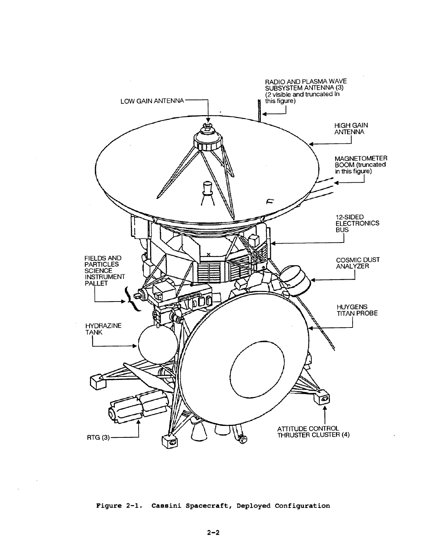

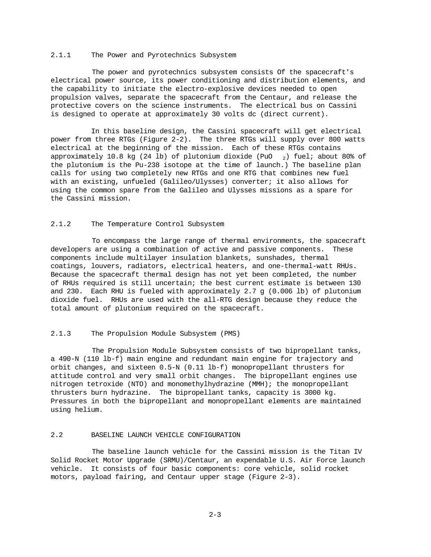#### 2.1.1 The Power and Pyrotechnics Subsystem

The power and pyrotechnics subsystem consists Of the spacecraft's electrical power source, its power conditioning and distribution elements, and the capability to initiate the electro-explosive devices needed to open propulsion valves, separate the spacecraft from the Centaur, and release the protective covers on the science instruments. The electrical bus on Cassini is designed to operate at approximately 30 volts dc (direct current).

In this baseline design, the Cassini spacecraft will get electrical power from three RTGs (Figure 2-2). The three RTGs will supply over 800 watts electrical at the beginning of the mission. Each of these RTGs contains approximately 10.8 kg (24 lb) of plutonium dioxide (PuO  $_2$ ) fuel; about 80% of the plutonium is the Pu-238 isotope at the time of launch.) The baseline plan calls for using two completely new RTGs and one RTG that combines new fuel with an existing, unfueled (Galileo/Ulysses) converter; it also allows for using the common spare from the Galileo and Ulysses missions as a spare for the Cassini mission.

# 2.1.2 The Temperature Control Subsystem

To encompass the large range of thermal environments, the spacecraft developers are using a combination of active and passive components. These components include multilayer insulation blankets, sunshades, thermal coatings, louvers, radiators, electrical heaters, and one-thermal-watt RHUs. Because the spacecraft thermal design has not yet been completed, the number of RHUs required is still uncertain; the best current estimate is between 130 and 230. Each RHU is fueled with approximately 2.7 g (0.006 lb) of plutonium dioxide fuel. RHUs are used with the all-RTG design because they reduce the total amount of plutonium required on the spacecraft.

# 2.1.3 The Propulsion Module Subsystem (PMS)

The Propulsion Module Subsystem consists of two bipropellant tanks, a 490-N (110 lb-f) main engine and redundant main engine for trajectory and orbit changes, and sixteen 0.5-N (0.11 lb-f) monopropellant thrusters for attitude control and very small orbit changes. The bipropellant engines use nitrogen tetroxide (NTO) and monomethylhydrazine (MMH); the monopropellant thrusters burn hydrazine. The bipropellant tanks, capacity is 3000 kg. Pressures in both the bipropellant and monopropellant elements are maintained using helium.

# 2.2 BASELINE LAUNCH VEHICLE CONFIGURATION

The baseline launch vehicle for the Cassini mission is the Titan IV Solid Rocket Motor Upgrade (SRMU)/Centaur, an expendable U.S. Air Force launch vehicle. It consists of four basic components: core vehicle, solid rocket motors, payload fairing, and Centaur upper stage (Figure 2-3).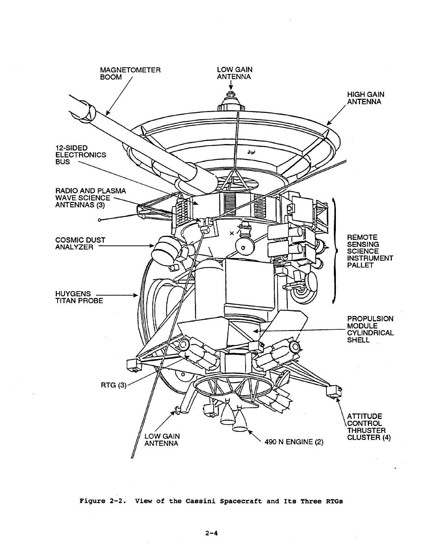

Figure 2-2. View of the Cassini Spacecraft and Its Three RTGs

 $\bar{z}$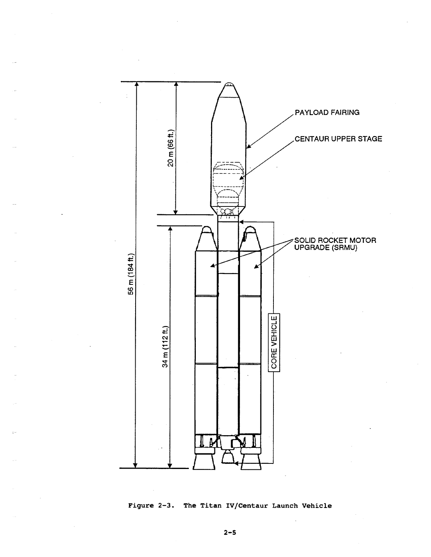

# Figure 2-3. The Titan IV/Centaur Launch Vehicle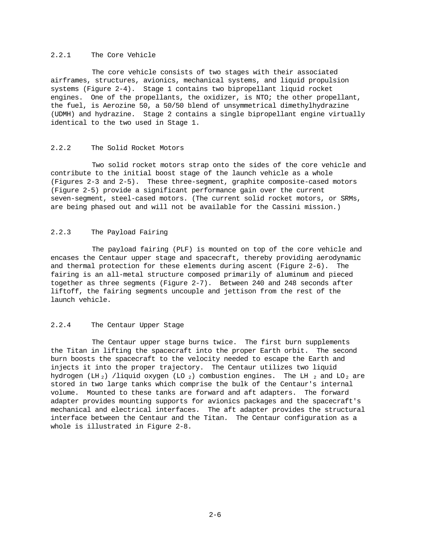# 2.2.1 The Core Vehicle

The core vehicle consists of two stages with their associated airframes, structures, avionics, mechanical systems, and liquid propulsion systems (Figure 2-4). Stage 1 contains two bipropellant liquid rocket engines. One of the propellants, the oxidizer, is NTO; the other propellant, the fuel, is Aerozine 50, a 50/50 blend of unsymmetrical dimethylhydrazine (UDMH) and hydrazine. Stage 2 contains a single bipropellant engine virtually identical to the two used in Stage 1.

# 2.2.2 The Solid Rocket Motors

Two solid rocket motors strap onto the sides of the core vehicle and contribute to the initial boost stage of the launch vehicle as a whole (Figures 2-3 and 2-5). These three-segment, graphite composite-cased motors (Figure 2-5) provide a significant performance gain over the current seven-segment, steel-cased motors. (The current solid rocket motors, or SRMs, are being phased out and will not be available for the Cassini mission.)

# 2.2.3 The Payload Fairing

The payload fairing (PLF) is mounted on top of the core vehicle and encases the Centaur upper stage and spacecraft, thereby providing aerodynamic and thermal protection for these elements during ascent (Figure 2-6). The fairing is an all-metal structure composed primarily of aluminum and pieced together as three segments (Figure 2-7). Between 240 and 248 seconds after liftoff, the fairing segments uncouple and jettison from the rest of the launch vehicle.

# 2.2.4 The Centaur Upper Stage

The Centaur upper stage burns twice. The first burn supplements the Titan in lifting the spacecraft into the proper Earth orbit. The second burn boosts the spacecraft to the velocity needed to escape the Earth and injects it into the proper trajectory. The Centaur utilizes two liquid hydrogen (LH  $_2$ ) /liquid oxygen (LO  $_2$ ) combustion engines. The LH  $_2$  and LO<sub>2</sub> are stored in two large tanks which comprise the bulk of the Centaur's internal volume. Mounted to these tanks are forward and aft adapters. The forward adapter provides mounting supports for avionics packages and the spacecraft's mechanical and electrical interfaces. The aft adapter provides the structural interface between the Centaur and the Titan. The Centaur configuration as a whole is illustrated in Figure 2-8.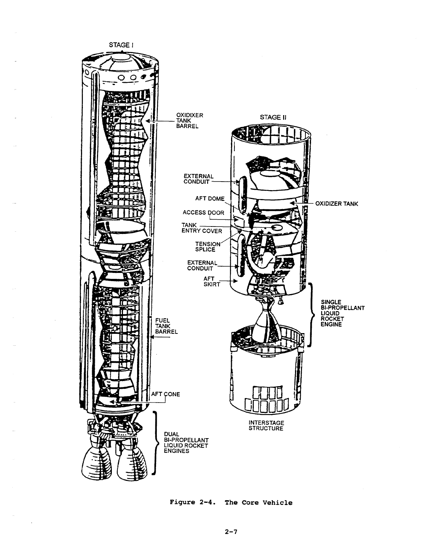

Figure 2-4. The Core Vehicle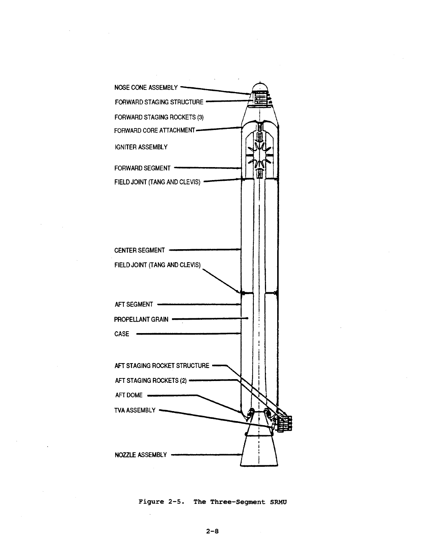

Figure 2-5. The Three-Segment SRMU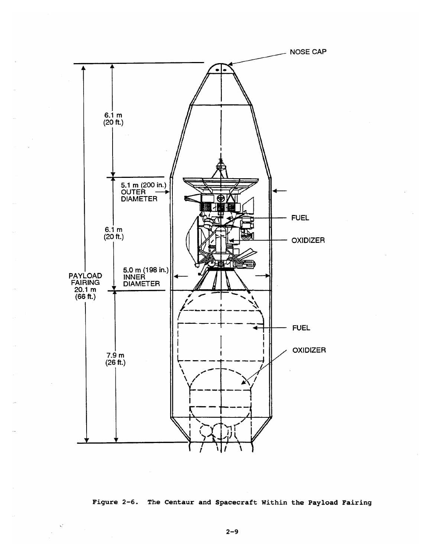

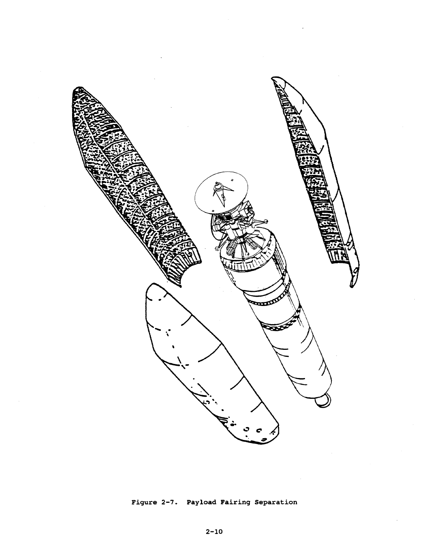

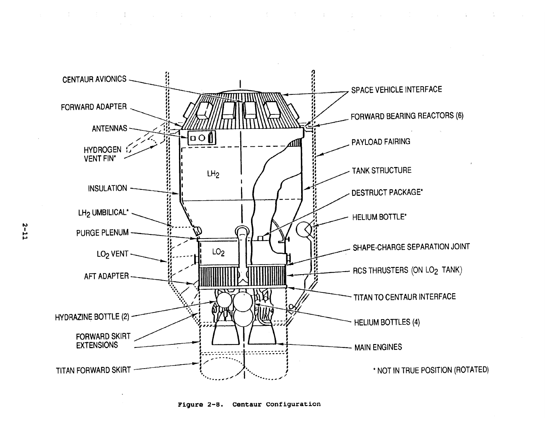

 $\mathcal{A}^{\text{max}}_{\text{max}}$  and  $\mathcal{A}^{\text{max}}_{\text{max}}$ 

Figure 2-8. Centaur Configuration

 $2 - 11$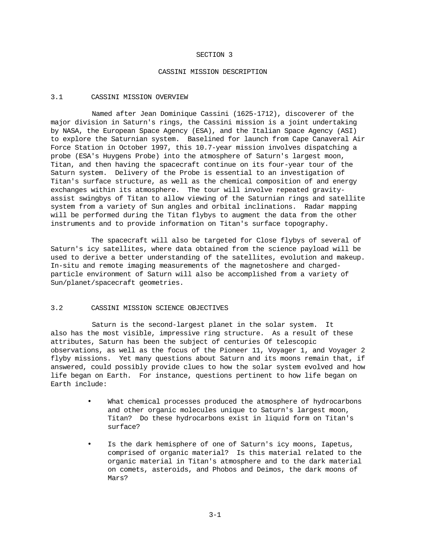### SECTION 3

#### CASSINI MISSION DESCRIPTION

## 3.1 CASSINI MISSION OVERVIEW

Named after Jean Dominique Cassini (1625-1712), discoverer of the major division in Saturn's rings, the Cassini mission is a joint undertaking by NASA, the European Space Agency (ESA), and the Italian Space Agency (ASI) to explore the Saturnian system. Baselined for launch from Cape Canaveral Air Force Station in October 1997, this 10.7-year mission involves dispatching a probe (ESA's Huygens Probe) into the atmosphere of Saturn's largest moon, Titan, and then having the spacecraft continue on its four-year tour of the Saturn system. Delivery of the Probe is essential to an investigation of Titan's surface structure, as well as the chemical composition of and energy exchanges within its atmosphere. The tour will involve repeated gravityassist swingbys of Titan to allow viewing of the Saturnian rings and satellite system from a variety of Sun angles and orbital inclinations. Radar mapping will be performed during the Titan flybys to augment the data from the other instruments and to provide information on Titan's surface topography.

The spacecraft will also be targeted for Close flybys of several of Saturn's icy satellites, where data obtained from the science payload will be used to derive a better understanding of the satellites, evolution and makeup. In-situ and remote imaging measurements of the magnetoshere and chargedparticle environment of Saturn will also be accomplished from a variety of Sun/planet/spacecraft geometries.

#### 3.2 CASSINI MISSION SCIENCE OBJECTIVES

Saturn is the second-largest planet in the solar system. It also has the most visible, impressive ring structure. As a result of these attributes, Saturn has been the subject of centuries Of telescopic observations, as well as the focus of the Pioneer 11, Voyager 1, and Voyager 2 flyby missions. Yet many questions about Saturn and its moons remain that, if answered, could possibly provide clues to how the solar system evolved and how life began on Earth. For instance, questions pertinent to how life began on Earth include:

- What chemical processes produced the atmosphere of hydrocarbons and other organic molecules unique to Saturn's largest moon, Titan? Do these hydrocarbons exist in liquid form on Titan's surface?
- Is the dark hemisphere of one of Saturn's icy moons, Iapetus, comprised of organic material? Is this material related to the organic material in Titan's atmosphere and to the dark material on comets, asteroids, and Phobos and Deimos, the dark moons of Mars?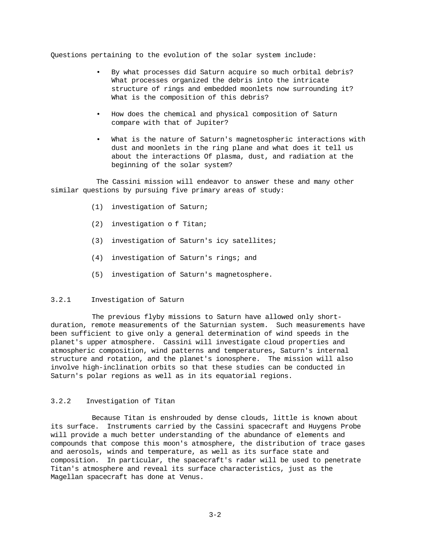Questions pertaining to the evolution of the solar system include:

- By what processes did Saturn acquire so much orbital debris? What processes organized the debris into the intricate structure of rings and embedded moonlets now surrounding it? What is the composition of this debris?
- How does the chemical and physical composition of Saturn compare with that of Jupiter?
- What is the nature of Saturn's magnetospheric interactions with dust and moonlets in the ring plane and what does it tell us about the interactions Of plasma, dust, and radiation at the beginning of the solar system?

The Cassini mission will endeavor to answer these and many other similar questions by pursuing five primary areas of study:

- (1) investigation of Saturn;
- (2) investigation o f Titan;
- (3) investigation of Saturn's icy satellites;
- (4) investigation of Saturn's rings; and
- (5) investigation of Saturn's magnetosphere.

# 3.2.1 Investigation of Saturn

The previous flyby missions to Saturn have allowed only shortduration, remote measurements of the Saturnian system. Such measurements have been sufficient to give only a general determination of wind speeds in the planet's upper atmosphere. Cassini will investigate cloud properties and atmospheric composition, wind patterns and temperatures, Saturn's internal structure and rotation, and the planet's ionosphere. The mission will also involve high-inclination orbits so that these studies can be conducted in Saturn's polar regions as well as in its equatorial regions.

# 3.2.2 Investigation of Titan

Because Titan is enshrouded by dense clouds, little is known about its surface. Instruments carried by the Cassini spacecraft and Huygens Probe will provide a much better understanding of the abundance of elements and compounds that compose this moon's atmosphere, the distribution of trace gases and aerosols, winds and temperature, as well as its surface state and composition. In particular, the spacecraft's radar will be used to penetrate Titan's atmosphere and reveal its surface characteristics, just as the Magellan spacecraft has done at Venus.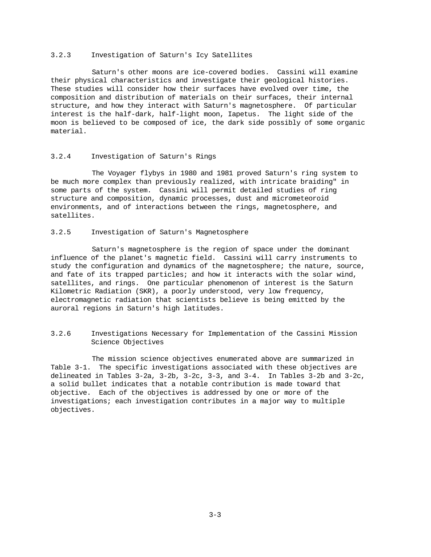#### 3.2.3 Investigation of Saturn's Icy Satellites

Saturn's other moons are ice-covered bodies. Cassini will examine their physical characteristics and investigate their geological histories. These studies will consider how their surfaces have evolved over time, the composition and distribution of materials on their surfaces, their internal structure, and how they interact with Saturn's magnetosphere. Of particular interest is the half-dark, half-light moon, Iapetus. The light side of the moon is believed to be composed of ice, the dark side possibly of some organic material.

# 3.2.4 Investigation of Saturn's Rings

The Voyager flybys in 1980 and 1981 proved Saturn's ring system to be much more complex than previously realized, with intricate braiding" in some parts of the system. Cassini will permit detailed studies of ring structure and composition, dynamic processes, dust and micrometeoroid environments, and of interactions between the rings, magnetosphere, and satellites.

# 3.2.5 Investigation of Saturn's Magnetosphere

Saturn's magnetosphere is the region of space under the dominant influence of the planet's magnetic field. Cassini will carry instruments to study the configuration and dynamics of the magnetosphere; the nature, source, and fate of its trapped particles; and how it interacts with the solar wind, satellites, and rings. One particular phenomenon of interest is the Saturn Kilometric Radiation (SKR), a poorly understood, very low frequency, electromagnetic radiation that scientists believe is being emitted by the auroral regions in Saturn's high latitudes.

# 3.2.6 Investigations Necessary for Implementation of the Cassini Mission Science Objectives

The mission science objectives enumerated above are summarized in Table 3-1. The specific investigations associated with these objectives are delineated in Tables 3-2a, 3-2b, 3-2c, 3-3, and 3-4. In Tables 3-2b and 3-2c, a solid bullet indicates that a notable contribution is made toward that objective. Each of the objectives is addressed by one or more of the investigations; each investigation contributes in a major way to multiple objectives.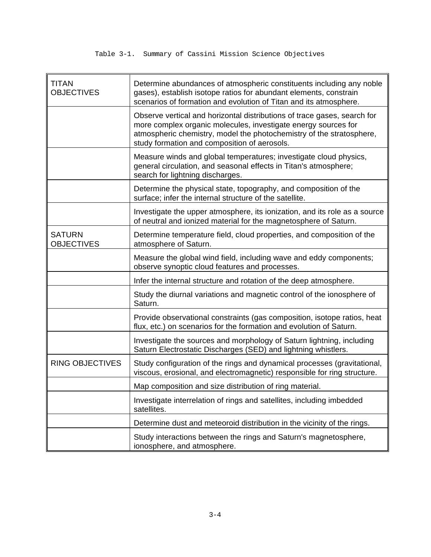# Table 3-1. Summary of Cassini Mission Science Objectives

| <b>TITAN</b><br><b>OBJECTIVES</b>  | Determine abundances of atmospheric constituents including any noble<br>gases), establish isotope ratios for abundant elements, constrain<br>scenarios of formation and evolution of Titan and its atmosphere.                                                     |
|------------------------------------|--------------------------------------------------------------------------------------------------------------------------------------------------------------------------------------------------------------------------------------------------------------------|
|                                    | Observe vertical and horizontal distributions of trace gases, search for<br>more complex organic molecules, investigate energy sources for<br>atmospheric chemistry, model the photochemistry of the stratosphere,<br>study formation and composition of aerosols. |
|                                    | Measure winds and global temperatures; investigate cloud physics,<br>general circulation, and seasonal effects in Titan's atmosphere;<br>search for lightning discharges.                                                                                          |
|                                    | Determine the physical state, topography, and composition of the<br>surface; infer the internal structure of the satellite.                                                                                                                                        |
|                                    | Investigate the upper atmosphere, its ionization, and its role as a source<br>of neutral and ionized material for the magnetosphere of Saturn.                                                                                                                     |
| <b>SATURN</b><br><b>OBJECTIVES</b> | Determine temperature field, cloud properties, and composition of the<br>atmosphere of Saturn.                                                                                                                                                                     |
|                                    | Measure the global wind field, including wave and eddy components;<br>observe synoptic cloud features and processes.                                                                                                                                               |
|                                    | Infer the internal structure and rotation of the deep atmosphere.                                                                                                                                                                                                  |
|                                    | Study the diurnal variations and magnetic control of the ionosphere of<br>Saturn.                                                                                                                                                                                  |
|                                    | Provide observational constraints (gas composition, isotope ratios, heat<br>flux, etc.) on scenarios for the formation and evolution of Saturn.                                                                                                                    |
|                                    | Investigate the sources and morphology of Saturn lightning, including<br>Saturn Electrostatic Discharges (SED) and lightning whistlers.                                                                                                                            |
| <b>RING OBJECTIVES</b>             | Study configuration of the rings and dynamical processes (gravitational,<br>viscous, erosional, and electromagnetic) responsible for ring structure.                                                                                                               |
|                                    | Map composition and size distribution of ring material.                                                                                                                                                                                                            |
|                                    | Investigate interrelation of rings and satellites, including imbedded<br>satellites.                                                                                                                                                                               |
|                                    | Determine dust and meteoroid distribution in the vicinity of the rings.                                                                                                                                                                                            |
|                                    | Study interactions between the rings and Saturn's magnetosphere,<br>ionosphere, and atmosphere.                                                                                                                                                                    |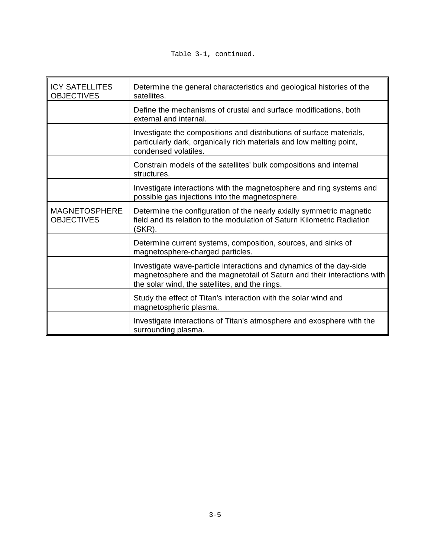| <b>ICY SATELLITES</b><br><b>OBJECTIVES</b> | Determine the general characteristics and geological histories of the<br>satellites.                                                                                                             |
|--------------------------------------------|--------------------------------------------------------------------------------------------------------------------------------------------------------------------------------------------------|
|                                            | Define the mechanisms of crustal and surface modifications, both<br>external and internal.                                                                                                       |
|                                            | Investigate the compositions and distributions of surface materials,<br>particularly dark, organically rich materials and low melting point,<br>condensed volatiles.                             |
|                                            | Constrain models of the satellites' bulk compositions and internal<br>structures.                                                                                                                |
|                                            | Investigate interactions with the magnetosphere and ring systems and<br>possible gas injections into the magnetosphere.                                                                          |
| <b>MAGNETOSPHERE</b><br><b>OBJECTIVES</b>  | Determine the configuration of the nearly axially symmetric magnetic<br>field and its relation to the modulation of Saturn Kilometric Radiation<br>(SKR).                                        |
|                                            | Determine current systems, composition, sources, and sinks of<br>magnetosphere-charged particles.                                                                                                |
|                                            | Investigate wave-particle interactions and dynamics of the day-side<br>magnetosphere and the magnetotail of Saturn and their interactions with<br>the solar wind, the satellites, and the rings. |
|                                            | Study the effect of Titan's interaction with the solar wind and<br>magnetospheric plasma.                                                                                                        |
|                                            | Investigate interactions of Titan's atmosphere and exosphere with the<br>surrounding plasma.                                                                                                     |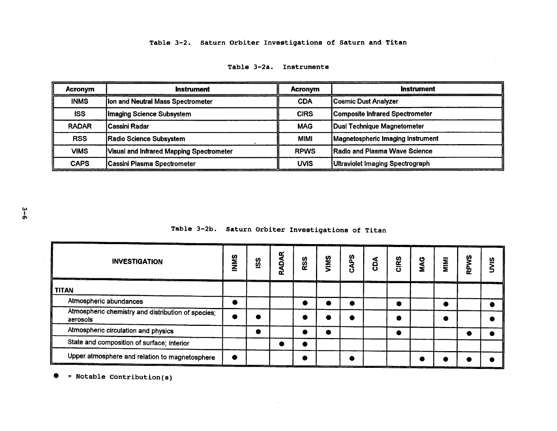# Table 3-2. Saturn Orbiter Investigations of Saturn and Titan

| <b>Acronym</b> | <b>Instrument</b>                               | <b>Acronvm</b> | <b>Instrument</b>                    |
|----------------|-------------------------------------------------|----------------|--------------------------------------|
| <b>INMS</b>    | <b>Ion and Neutral Mass Spectrometer</b>        | <b>CDA</b>     | Cosmic Dust Analyzer                 |
| <b>ISS</b>     | Imaging Science Subsystem                       | <b>CIRS</b>    | Composite Infrared Spectrometer      |
| <b>RADAR</b>   | <b>Cassini Radar</b>                            | <b>MAG</b>     | Dual Technique Magnetometer          |
| <b>RSS</b>     | Radio Science Subsystem                         | <b>MIMI</b>    | Magnetospheric Imaging Instrument    |
| <b>VIMS</b>    | <b>Visual and Infrared Mapping Spectrometer</b> | <b>RPWS</b>    | <b>Radio and Plasma Wave Science</b> |
| <b>CAPS</b>    | Cassini Plasma Spectrometer                     | <b>UVIS</b>    | Ultraviolet Imaging Spectrograph     |

# Table 3-2a. Instruments

Table 3-2b. Saturn Orbiter Investigations of Titan

| ______<br><b>INVESTIGATION</b><br><b><i>COMMANDAD COMMAND</i></b> |  | $rac{6}{2}$ | <b>ADAR</b><br>๔ | <b>RSS</b> | SMIN | sa<br>S | δQ                                            | CIRS | <b>MAG</b> | MINI | RPWS | ഇ                                       |
|-------------------------------------------------------------------|--|-------------|------------------|------------|------|---------|-----------------------------------------------|------|------------|------|------|-----------------------------------------|
| <b>TITAN</b>                                                      |  |             |                  |            |      |         | and a series of the company of the company of |      |            |      |      | the contract of the company of the con- |
| Atmospheric abundances                                            |  |             |                  |            |      |         |                                               |      |            |      |      |                                         |
| Atmospheric chemistry and distribution of species;<br>aerosols    |  |             |                  |            |      |         |                                               |      |            |      |      |                                         |
| Atmospheric circulation and physics                               |  |             |                  |            |      |         |                                               |      |            |      |      |                                         |
| State and composition of surface; interior                        |  |             |                  |            |      |         |                                               |      |            |      |      |                                         |
| Upper atmosphere and relation to magnetosphere                    |  |             |                  |            |      |         |                                               |      |            |      |      |                                         |

 $\sim 10^{-11}$ 

 $\bullet$  = Notable Contribution(s)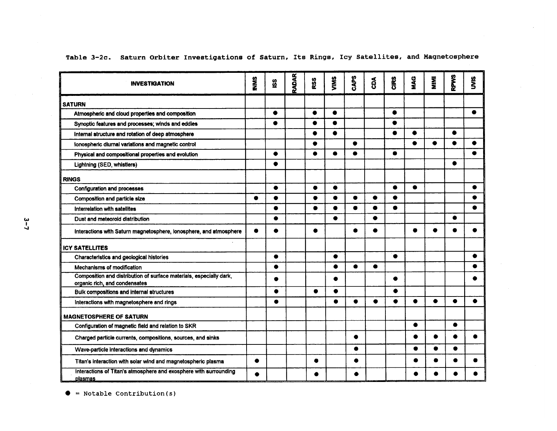| <b>INVESTIGATION</b>                                                                                 | <b>MINIS</b> | ပ္တိ      | <b>RADAR</b> | RSS       | VIMS      | <b>CAPS</b> | $\mathbf{g}$ | CIRS      | MAG       | <b>NIKI</b> | <b>RPWS</b> | š         |
|------------------------------------------------------------------------------------------------------|--------------|-----------|--------------|-----------|-----------|-------------|--------------|-----------|-----------|-------------|-------------|-----------|
| <b>SATURN</b>                                                                                        |              |           |              |           |           |             |              |           |           |             |             |           |
| Atmospheric and cloud properties and composition                                                     |              | $\bullet$ |              | $\bullet$ | $\bullet$ |             |              | $\bullet$ |           |             |             | €         |
| Synoptic features and processes; winds and eddies                                                    |              | ●         |              | ٠         | $\bullet$ |             |              | $\bullet$ |           |             |             |           |
| Internal structure and rotation of deep atmosphere                                                   |              |           |              |           | ٠         |             |              |           | $\bullet$ |             | $\bullet$   |           |
| lonospheric diurnal variations and magnetic control                                                  |              |           |              |           |           | $\bullet$   |              |           | $\bullet$ | $\bullet$   | $\bullet$   | $\bullet$ |
| Physical and compositional properties and evolution                                                  |              |           |              | $\bullet$ | $\bullet$ | $\bullet$   |              | $\bullet$ |           |             |             | $\bullet$ |
| Lightning (SED, whistlers)                                                                           |              | ●         |              |           |           |             |              |           |           |             | $\bullet$   |           |
| <b>RINGS</b>                                                                                         |              |           |              |           |           |             |              |           |           |             |             |           |
| Configuration and processes                                                                          |              | $\bullet$ |              | $\bullet$ | $\bullet$ |             |              | ●         | ۰         |             |             | ٠         |
| Composition and particle size                                                                        | $\bullet$    | $\bullet$ |              | $\bullet$ | $\bullet$ | $\bullet$   | ۰            | ▲         |           |             |             |           |
| Interrelation with satellites                                                                        |              | $\bullet$ |              | ●         | $\bullet$ | ●           | ●            | ●         |           |             |             |           |
| Dust and meteoroid distribution                                                                      |              | ●         |              |           |           |             | ●            |           |           |             | ●           |           |
| Interactions with Saturn magnetosphere, ionosphere, and atmosphere                                   | $\bullet$    |           |              |           |           |             | ●            |           | ●         |             |             |           |
| <b>ICY SATELLITES</b>                                                                                |              |           |              |           |           |             |              |           |           |             |             |           |
| Characteristics and geological histories                                                             |              | $\bullet$ |              |           | ٠         |             |              | $\bullet$ |           |             |             |           |
| Mechanisms of modification                                                                           |              | $\bullet$ |              |           | ٠         | $\bullet$   | $\bullet$    |           |           |             |             |           |
| Composition and distribution of surface materials, especially dark,<br>organic rich, and condensates |              | ٠         |              |           |           |             |              |           |           |             |             |           |
| Bulk compositions and internal structures                                                            |              | $\bullet$ |              | $\bullet$ | $\bullet$ |             |              |           |           |             |             |           |
| Interactions with magnetosphere and rings                                                            |              | $\bullet$ |              |           | $\bullet$ | $\bullet$   | $\bullet$    | $\bullet$ | ٠         | ●           | ●           | ▲         |
| <b>MAGNETOSPHERE OF SATURN</b>                                                                       |              |           |              |           |           |             |              |           |           |             |             |           |
| Configuration of magnetic field and relation to SKR                                                  |              |           |              |           |           |             |              |           | $\bullet$ |             | $\bullet$   |           |
| Charged particle currents, compositions, sources, and sinks                                          |              |           |              |           |           | ٠           |              |           |           | ●           |             |           |
| Wave-particle interactions and dynamics                                                              |              |           |              |           |           | ●           |              |           | ٠         | $\bullet$   | ٠           |           |
| Titan's interaction with solar wind and magnetospheric plasma                                        | $\bullet$    |           |              | ۰         |           | ٠           |              |           | $\bullet$ | ▲           |             |           |
| Interactions of Titan's atmosphere and exosphere with surrounding<br>plasmas                         | ●            |           |              |           |           |             |              |           |           |             |             |           |

Table 3-2c. Saturn Orbiter Investigations of Saturn, Its Rings, Icy Satellites, and Magnetosphere

 $\bullet$  = Notable Contribution(s)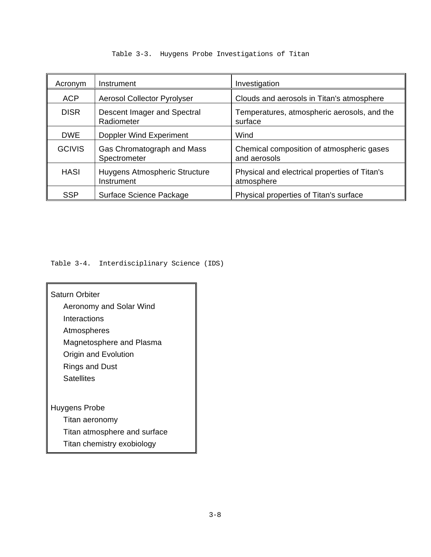| Acronym       | Instrument                                  | Investigation                                               |  |  |
|---------------|---------------------------------------------|-------------------------------------------------------------|--|--|
| <b>ACP</b>    | <b>Aerosol Collector Pyrolyser</b>          | Clouds and aerosols in Titan's atmosphere                   |  |  |
| <b>DISR</b>   | Descent Imager and Spectral<br>Radiometer   | Temperatures, atmospheric aerosols, and the<br>surface      |  |  |
| <b>DWE</b>    | Doppler Wind Experiment                     | Wind                                                        |  |  |
| <b>GCIVIS</b> | Gas Chromatograph and Mass<br>Spectrometer  | Chemical composition of atmospheric gases<br>and aerosols   |  |  |
| <b>HASI</b>   | Huygens Atmospheric Structure<br>Instrument | Physical and electrical properties of Titan's<br>atmosphere |  |  |
| <b>SSP</b>    | Surface Science Package                     | Physical properties of Titan's surface                      |  |  |

# Table 3-3. Huygens Probe Investigations of Titan

Table 3-4. Interdisciplinary Science (IDS)

Saturn Orbiter Aeronomy and Solar Wind Interactions Atmospheres Magnetosphere and Plasma Origin and Evolution Rings and Dust **Satellites** Huygens Probe Titan aeronomy Titan atmosphere and surface

Titan chemistry exobiology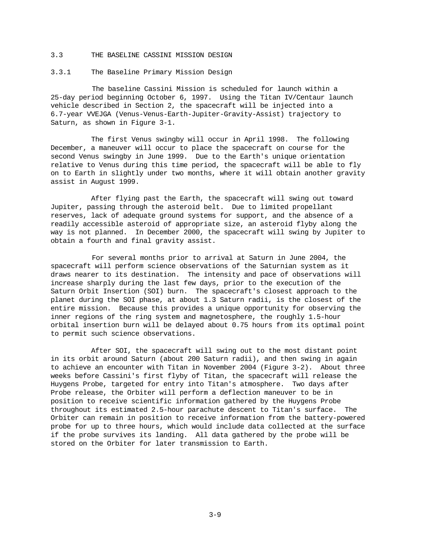#### 3.3 THE BASELINE CASSINI MISSION DESIGN

#### 3.3.1 The Baseline Primary Mission Design

The baseline Cassini Mission is scheduled for launch within a 25-day period beginning October 6, 1997. Using the Titan IV/Centaur launch vehicle described in Section 2, the spacecraft will be injected into a 6.7-year VVEJGA (Venus-Venus-Earth-Jupiter-Gravity-Assist) trajectory to Saturn, as shown in Figure 3-1.

The first Venus swingby will occur in April 1998. The following December, a maneuver will occur to place the spacecraft on course for the second Venus swingby in June 1999. Due to the Earth's unique orientation relative to Venus during this time period, the spacecraft will be able to fly on to Earth in slightly under two months, where it will obtain another gravity assist in August 1999.

After flying past the Earth, the spacecraft will swing out toward Jupiter, passing through the asteroid belt. Due to limited propellant reserves, lack of adequate ground systems for support, and the absence of a readily accessible asteroid of appropriate size, an asteroid flyby along the way is not planned. In December 2000, the spacecraft will swing by Jupiter to obtain a fourth and final gravity assist.

For several months prior to arrival at Saturn in June 2004, the spacecraft will perform science observations of the Saturnian system as it draws nearer to its destination. The intensity and pace of observations will increase sharply during the last few days, prior to the execution of the Saturn Orbit Insertion (SOI) burn. The spacecraft's closest approach to the planet during the SOI phase, at about 1.3 Saturn radii, is the closest of the entire mission. Because this provides a unique opportunity for observing the inner regions of the ring system and magnetosphere, the roughly 1.5-hour orbital insertion burn will be delayed about 0.75 hours from its optimal point to permit such science observations.

After SOI, the spacecraft will swing out to the most distant point in its orbit around Saturn (about 200 Saturn radii), and then swing in again to achieve an encounter with Titan in November 2004 (Figure 3-2). About three weeks before Cassini's first flyby of Titan, the spacecraft will release the Huygens Probe, targeted for entry into Titan's atmosphere. Two days after Probe release, the Orbiter will perform a deflection maneuver to be in position to receive scientific information gathered by the Huygens Probe throughout its estimated 2.5-hour parachute descent to Titan's surface. The Orbiter can remain in position to receive information from the battery-powered probe for up to three hours, which would include data collected at the surface if the probe survives its landing. All data gathered by the probe will be stored on the Orbiter for later transmission to Earth.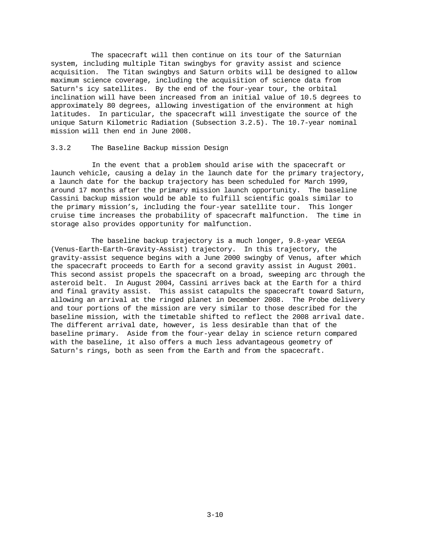The spacecraft will then continue on its tour of the Saturnian system, including multiple Titan swingbys for gravity assist and science acquisition. The Titan swingbys and Saturn orbits will be designed to allow maximum science coverage, including the acquisition of science data from Saturn's icy satellites. By the end of the four-year tour, the orbital inclination will have been increased from an initial value of 10.5 degrees to approximately 80 degrees, allowing investigation of the environment at high latitudes. In particular, the spacecraft will investigate the source of the unique Saturn Kilometric Radiation (Subsection 3.2.5). The 10.7-year nominal mission will then end in June 2008.

# 3.3.2 The Baseline Backup mission Design

In the event that a problem should arise with the spacecraft or launch vehicle, causing a delay in the launch date for the primary trajectory, a launch date for the backup trajectory has been scheduled for March 1999, around 17 months after the primary mission launch opportunity. The baseline Cassini backup mission would be able to fulfill scientific goals similar to the primary mission's, including the four-year satellite tour. This longer cruise time increases the probability of spacecraft malfunction. The time in storage also provides opportunity for malfunction.

The baseline backup trajectory is a much longer, 9.8-year VEEGA (Venus-Earth-Earth-Gravity-Assist) trajectory. In this trajectory, the gravity-assist sequence begins with a June 2000 swingby of Venus, after which the spacecraft proceeds to Earth for a second gravity assist in August 2001. This second assist propels the spacecraft on a broad, sweeping arc through the asteroid belt. In August 2004, Cassini arrives back at the Earth for a third and final gravity assist. This assist catapults the spacecraft toward Saturn, allowing an arrival at the ringed planet in December 2008. The Probe delivery and tour portions of the mission are very similar to those described for the baseline mission, with the timetable shifted to reflect the 2008 arrival date. The different arrival date, however, is less desirable than that of the baseline primary. Aside from the four-year delay in science return compared with the baseline, it also offers a much less advantageous geometry of Saturn's rings, both as seen from the Earth and from the spacecraft.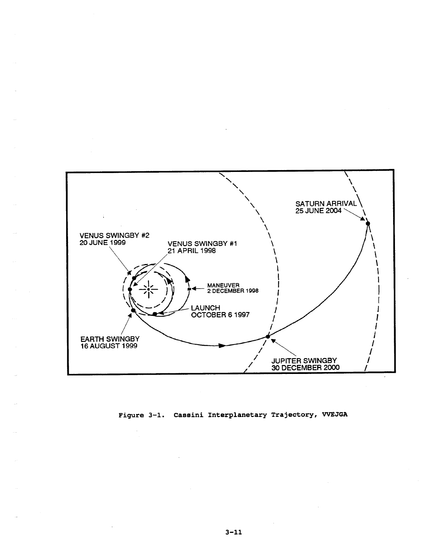

Figure 3-1. Cassini Interplanetary Trajectory, VVEJGA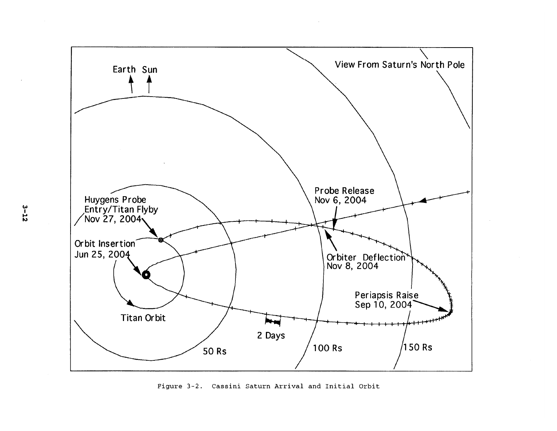

 $\sim 10^{-1}$ 

Figure 3-2. Cassini Saturn Arrival and Initial Orbit

 $3 - 12$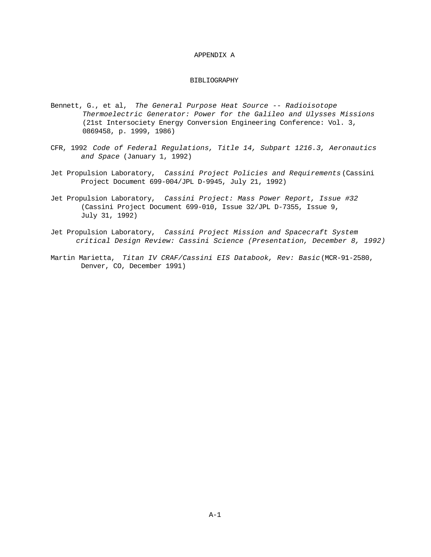## APPENDIX A

# BIBLIOGRAPHY

- Bennett, G., et al, *The General Purpose Heat Source -- Radioisotope Thermoelectric Generator: Power for the Galileo and Ulysses Missions* (21st Intersociety Energy Conversion Engineering Conference: Vol. 3, 0869458, p. 1999, 1986)
- CFR, 1992 *Code of Federal Regulations, Title 14, Subpart 1216.3, Aeronautics and Space* (January 1, 1992)
- Jet Propulsion Laboratory, *Cassini Project Policies and Requirements* (Cassini Project Document 699-004/JPL D-9945, July 21, 1992)
- Jet Propulsion Laboratory, *Cassini Project: Mass Power Report, Issue #32* (Cassini Project Document 699-010, Issue 32/JPL D-7355, Issue 9, July 31, 1992)
- Jet Propulsion Laboratory, *Cassini Project Mission and Spacecraft System critical Design Review: Cassini Science (Presentation, December 8, 1992)*
- Martin Marietta, *Titan IV CRAF/Cassini EIS Databook, Rev: Basic* (MCR-91-2580, Denver, CO, December 1991)